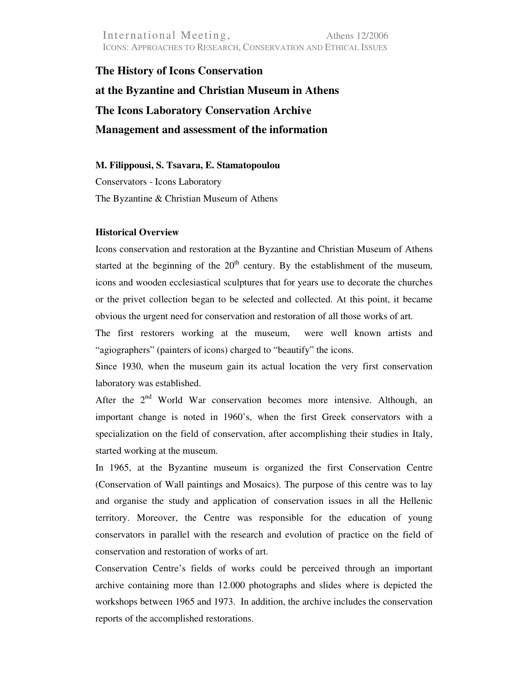International Meeting, Athens 12/2006 ICONS: APPROACHES TO RESEARCH, CONSERVATION AND ETHICAL ISSUES

**The History of Icons Conservation at the Byzantine and Christian Museum in Athens The Icons Laboratory Conservation Archive Management and assessment of the information** 

**M. Filippousi, S. Tsavara, E. Stamatopoulou**  Conservators - Icons Laboratory

The Byzantine & Christian Museum of Athens

### **Historical Overview**

Icons conservation and restoration at the Byzantine and Christian Museum of Athens started at the beginning of the  $20<sup>th</sup>$  century. By the establishment of the museum, icons and wooden ecclesiastical sculptures that for years use to decorate the churches or the privet collection began to be selected and collected. At this point, it became obvious the urgent need for conservation and restoration of all those works of art.

The first restorers working at the museum, were well known artists and "agiographers" (painters of icons) charged to "beautify" the icons.

Since 1930, when the museum gain its actual location the very first conservation laboratory was established.

After the  $2<sup>nd</sup>$  World War conservation becomes more intensive. Although, an important change is noted in 1960's, when the first Greek conservators with a specialization on the field of conservation, after accomplishing their studies in Italy, started working at the museum.

In 1965, at the Byzantine museum is organized the first Conservation Centre (Conservation of Wall paintings and Mosaics). The purpose of this centre was to lay and organise the study and application of conservation issues in all the Hellenic territory. Moreover, the Centre was responsible for the education of young conservators in parallel with the research and evolution of practice on the field of conservation and restoration of works of art.

Conservation Centre's fields of works could be perceived through an important archive containing more than 12.000 photographs and slides where is depicted the workshops between 1965 and 1973. In addition, the archive includes the conservation reports of the accomplished restorations.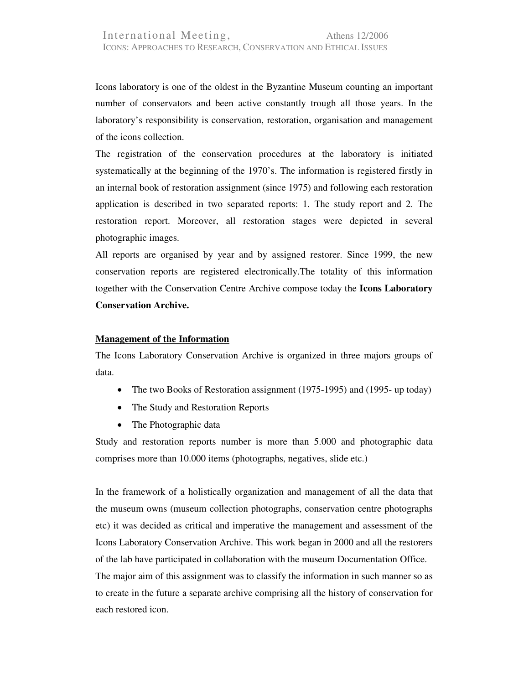Icons laboratory is one of the oldest in the Byzantine Museum counting an important number of conservators and been active constantly trough all those years. In the laboratory's responsibility is conservation, restoration, organisation and management of the icons collection.

The registration of the conservation procedures at the laboratory is initiated systematically at the beginning of the 1970's. The information is registered firstly in an internal book of restoration assignment (since 1975) and following each restoration application is described in two separated reports: 1. The study report and 2. The restoration report. Moreover, all restoration stages were depicted in several photographic images.

All reports are organised by year and by assigned restorer. Since 1999, the new conservation reports are registered electronically.The totality of this information together with the Conservation Centre Archive compose today the **Icons Laboratory Conservation Archive.**

### **Management of the Information**

The Icons Laboratory Conservation Archive is organized in three majors groups of data.

- The two Books of Restoration assignment (1975-1995) and (1995- up today)
- The Study and Restoration Reports
- The Photographic data

Study and restoration reports number is more than 5.000 and photographic data comprises more than 10.000 items (photographs, negatives, slide etc.)

In the framework of a holistically organization and management of all the data that the museum owns (museum collection photographs, conservation centre photographs etc) it was decided as critical and imperative the management and assessment of the Icons Laboratory Conservation Archive. This work began in 2000 and all the restorers of the lab have participated in collaboration with the museum Documentation Office. The major aim of this assignment was to classify the information in such manner so as to create in the future a separate archive comprising all the history of conservation for each restored icon.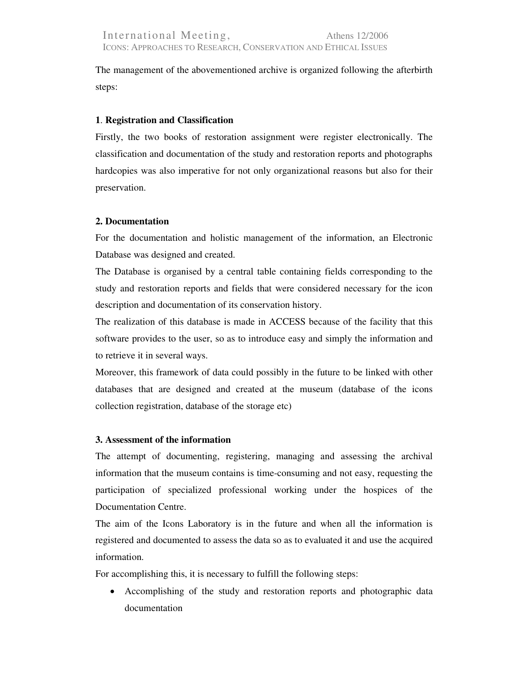The management of the abovementioned archive is organized following the afterbirth steps:

## **1**. **Registration and Classification**

Firstly, the two books of restoration assignment were register electronically. The classification and documentation of the study and restoration reports and photographs hardcopies was also imperative for not only organizational reasons but also for their preservation.

## **2. Documentation**

For the documentation and holistic management of the information, an Electronic Database was designed and created.

The Database is organised by a central table containing fields corresponding to the study and restoration reports and fields that were considered necessary for the icon description and documentation of its conservation history.

The realization of this database is made in ACCESS because of the facility that this software provides to the user, so as to introduce easy and simply the information and to retrieve it in several ways.

Moreover, this framework of data could possibly in the future to be linked with other databases that are designed and created at the museum (database of the icons collection registration, database of the storage etc)

# **3. Assessment of the information**

The attempt of documenting, registering, managing and assessing the archival information that the museum contains is time-consuming and not easy, requesting the participation of specialized professional working under the hospices of the Documentation Centre.

The aim of the Icons Laboratory is in the future and when all the information is registered and documented to assess the data so as to evaluated it and use the acquired information.

For accomplishing this, it is necessary to fulfill the following steps:

• Accomplishing of the study and restoration reports and photographic data documentation